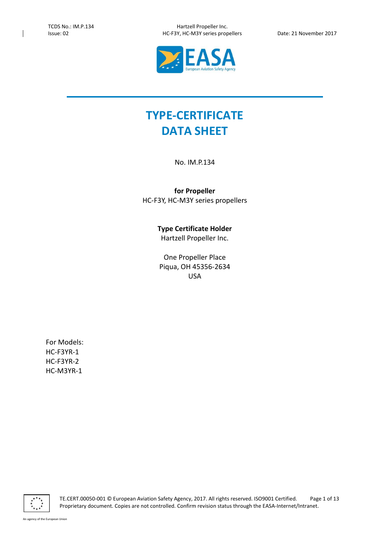TCDS No.: IM.P.134 Hartzell Propeller Inc.<br>
Issue: 02<br>
HC-F3Y. HC-M3Y series prop Issue: 02 HC-F3Y, HC-M3Y series propellers Date: 21 November 2017



# **TYPE-CERTIFICATE DATA SHEET**

No. IM.P.134

**for Propeller** HC-F3Y, HC-M3Y series propellers

## **Type Certificate Holder**

Hartzell Propeller Inc.

One Propeller Place Piqua, OH 45356-2634 USA

For Models: HC-F3YR-1 HC-F3YR-2 HC-M3YR-1

 $\overline{\cdots}$ 

TE.CERT.00050-001 © European Aviation Safety Agency, 2017. All rights reserved. ISO9001 Certified. Page 1 of 13 Proprietary document. Copies are not controlled. Confirm revision status through the EASA-Internet/Intranet.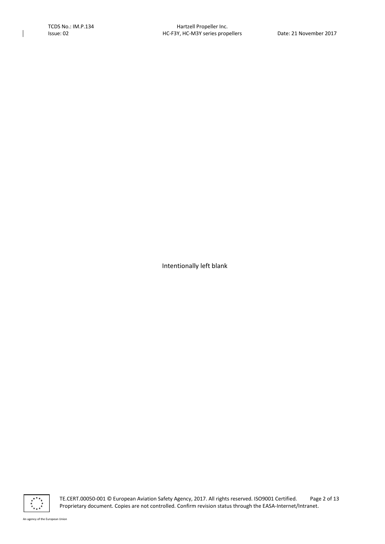Intentionally left blank



TE.CERT.00050-001 © European Aviation Safety Agency, 2017. All rights reserved. ISO9001 Certified. Page 2 of 13 Proprietary document. Copies are not controlled. Confirm revision status through the EASA-Internet/Intranet.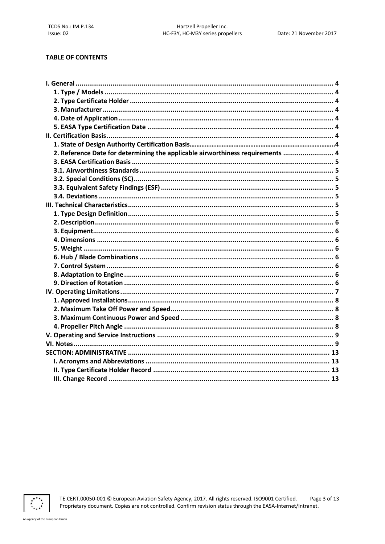## **TABLE OF CONTENTS**

| 2. Reference Date for determining the applicable airworthiness requirements  4 |  |
|--------------------------------------------------------------------------------|--|
|                                                                                |  |
|                                                                                |  |
|                                                                                |  |
|                                                                                |  |
|                                                                                |  |
|                                                                                |  |
|                                                                                |  |
|                                                                                |  |
|                                                                                |  |
|                                                                                |  |
|                                                                                |  |
|                                                                                |  |
|                                                                                |  |
|                                                                                |  |
|                                                                                |  |
|                                                                                |  |
|                                                                                |  |
|                                                                                |  |
|                                                                                |  |
|                                                                                |  |
|                                                                                |  |
|                                                                                |  |
|                                                                                |  |
|                                                                                |  |
|                                                                                |  |
|                                                                                |  |
|                                                                                |  |



TE.CERT.00050-001 © European Aviation Safety Agency, 2017. All rights reserved. ISO9001 Certified. Page 3 of 13 Proprietary document. Copies are not controlled. Confirm revision status through the EASA-Internet/Intranet.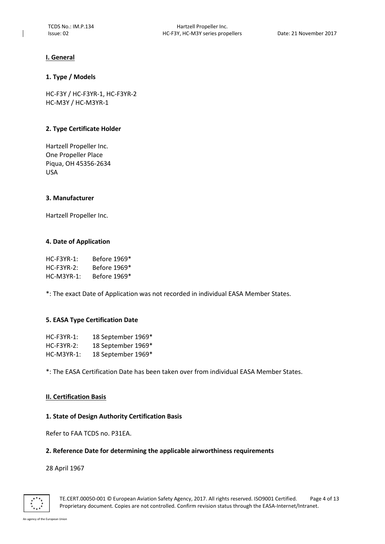## <span id="page-3-0"></span>**I. General**

## <span id="page-3-1"></span>**1. Type / Models**

HC-F3Y / HC-F3YR-1, HC-F3YR-2 HC-M3Y / HC-M3YR-1

## <span id="page-3-2"></span>**2. Type Certificate Holder**

Hartzell Propeller Inc. One Propeller Place Piqua, OH 45356-2634 USA

#### <span id="page-3-3"></span>**3. Manufacturer**

Hartzell Propeller Inc.

## <span id="page-3-4"></span>**4. Date of Application**

| $HC-F3YR-1$ : | Before 1969* |
|---------------|--------------|
| $HC-F3YR-2$ : | Before 1969* |
| $HC-M3YR-1$ : | Before 1969* |

\*: The exact Date of Application was not recorded in individual EASA Member States.

## <span id="page-3-5"></span>**5. EASA Type Certification Date**

HC-F3YR-1: 18 September 1969\* HC-F3YR-2: 18 September 1969\* HC-M3YR-1: 18 September 1969\*

\*: The EASA Certification Date has been taken over from individual EASA Member States.

## <span id="page-3-6"></span>**II. Certification Basis**

## **1. State of Design Authority Certification Basis**

Refer to FAA TCDS no. P31EA.

#### <span id="page-3-7"></span>**2. Reference Date for determining the applicable airworthiness requirements**

28 April 1967

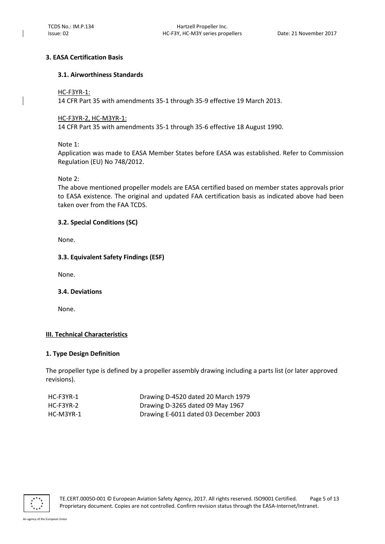## <span id="page-4-0"></span>**3. EASA Certification Basis**

## <span id="page-4-1"></span>**3.1. Airworthiness Standards**

## HC-F3YR-1:

14 CFR Part 35 with amendments 35-1 through 35-9 effective 19 March 2013.

## HC-F3YR-2, HC-M3YR-1:

14 CFR Part 35 with amendments 35-1 through 35-6 effective 18 August 1990.

## Note 1:

Application was made to EASA Member States before EASA was established. Refer to Commission Regulation (EU) No 748/2012.

## Note 2:

The above mentioned propeller models are EASA certified based on member states approvals prior to EASA existence. The original and updated FAA certification basis as indicated above had been taken over from the FAA TCDS.

## <span id="page-4-2"></span>**3.2. Special Conditions (SC)**

None.

## <span id="page-4-3"></span>**3.3. Equivalent Safety Findings (ESF)**

None.

## <span id="page-4-4"></span>**3.4. Deviations**

None.

## <span id="page-4-5"></span>**III. Technical Characteristics**

## <span id="page-4-6"></span>**1. Type Design Definition**

The propeller type is defined by a propeller assembly drawing including a parts list (or later approved revisions).

| HC-F3YR-1 | Drawing D-4520 dated 20 March 1979    |
|-----------|---------------------------------------|
| HC-F3YR-2 | Drawing D-3265 dated 09 May 1967      |
| HC-M3YR-1 | Drawing E-6011 dated 03 December 2003 |

TE.CERT.00050-001 © European Aviation Safety Agency, 2017. All rights reserved. ISO9001 Certified. Page 5 of 13 Proprietary document. Copies are not controlled. Confirm revision status through the EASA-Internet/Intranet.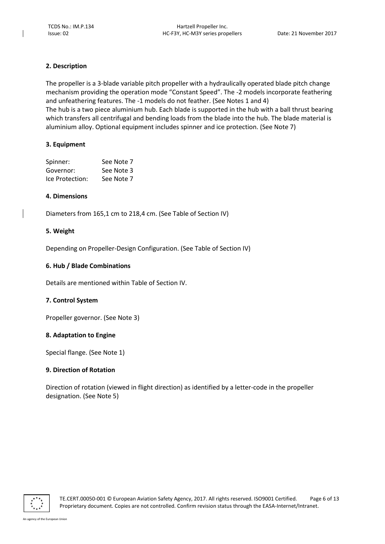## <span id="page-5-0"></span>**2. Description**

The propeller is a 3-blade variable pitch propeller with a hydraulically operated blade pitch change mechanism providing the operation mode "Constant Speed". The -2 models incorporate feathering and unfeathering features. The -1 models do not feather. (See Notes 1 and 4) The hub is a two piece aluminium hub. Each blade is supported in the hub with a ball thrust bearing which transfers all centrifugal and bending loads from the blade into the hub. The blade material is aluminium alloy. Optional equipment includes spinner and ice protection. (See Note 7)

## <span id="page-5-1"></span>**3. Equipment**

| Spinner:        | See Note 7 |
|-----------------|------------|
| Governor:       | See Note 3 |
| Ice Protection: | See Note 7 |

## <span id="page-5-2"></span>**4. Dimensions**

Diameters from 165,1 cm to 218,4 cm. (See Table of Section IV)

#### <span id="page-5-3"></span>**5. Weight**

Depending on Propeller-Design Configuration. (See Table of Section IV)

#### <span id="page-5-4"></span>**6. Hub / Blade Combinations**

Details are mentioned within Table of Section IV.

## <span id="page-5-5"></span>**7. Control System**

Propeller governor. (See Note 3)

## <span id="page-5-6"></span>**8. Adaptation to Engine**

Special flange. (See Note 1)

#### <span id="page-5-7"></span>**9. Direction of Rotation**

Direction of rotation (viewed in flight direction) as identified by a letter-code in the propeller designation. (See Note 5)

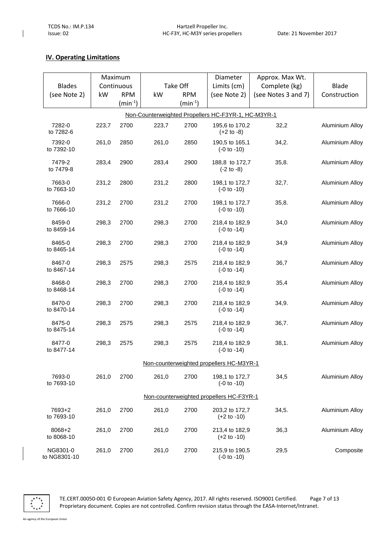## <span id="page-6-0"></span>**IV. Operating Limitations**

|                                          |       | Maximum      |          |              | Diameter                                            | Approx. Max Wt.     |                        |
|------------------------------------------|-------|--------------|----------|--------------|-----------------------------------------------------|---------------------|------------------------|
| <b>Blades</b>                            |       | Continuous   | Take Off |              | Limits (cm)                                         | Complete (kg)       | <b>Blade</b>           |
| (see Note 2)                             | kW    | <b>RPM</b>   | kW       | <b>RPM</b>   | (see Note 2)                                        | (see Notes 3 and 7) | Construction           |
|                                          |       | $(min^{-1})$ |          | $(min^{-1})$ |                                                     |                     |                        |
|                                          |       |              |          |              | Non-Counterweighted Propellers HC-F3YR-1, HC-M3YR-1 |                     |                        |
| 7282-0<br>to 7282-6                      | 223,7 | 2700         | 223,7    | 2700         | 195,6 to 170,2<br>$(+2 to -8)$                      | 32,2                | <b>Aluminium Alloy</b> |
| 7392-0<br>to 7392-10                     | 261,0 | 2850         | 261,0    | 2850         | 190,5 to 165,1<br>$(-0 to -10)$                     | 34,2.               | <b>Aluminium Alloy</b> |
| 7479-2<br>to 7479-8                      | 283,4 | 2900         | 283,4    | 2900         | 188,8 to 172,7<br>$(-2 to -8)$                      | 35,8.               | <b>Aluminium Alloy</b> |
| 7663-0<br>to 7663-10                     | 231,2 | 2800         | 231,2    | 2800         | 198,1 to 172,7<br>$(-0 to -10)$                     | 32,7.               | <b>Aluminium Alloy</b> |
| 7666-0<br>to 7666-10                     | 231,2 | 2700         | 231,2    | 2700         | 198,1 to 172,7<br>$(-0 to -10)$                     | 35,8.               | <b>Aluminium Alloy</b> |
| 8459-0<br>to 8459-14                     | 298,3 | 2700         | 298,3    | 2700         | 218,4 to 182,9<br>$(-0 to -14)$                     | 34,0                | <b>Aluminium Alloy</b> |
| 8465-0<br>to 8465-14                     | 298,3 | 2700         | 298,3    | 2700         | 218,4 to 182,9<br>$(-0 to -14)$                     | 34,9                | <b>Aluminium Alloy</b> |
| 8467-0<br>to 8467-14                     | 298,3 | 2575         | 298,3    | 2575         | 218,4 to 182,9<br>$(-0)$ to $-14$ )                 | 36,7                | <b>Aluminium Alloy</b> |
| 8468-0<br>to 8468-14                     | 298,3 | 2700         | 298,3    | 2700         | 218,4 to 182,9<br>$(-0)$ to $-14$ )                 | 35,4                | Aluminium Alloy        |
| 8470-0<br>to 8470-14                     | 298,3 | 2700         | 298,3    | 2700         | 218,4 to 182,9<br>$(-0 to -14)$                     | 34,9.               | <b>Aluminium Alloy</b> |
| 8475-0<br>to 8475-14                     | 298,3 | 2575         | 298,3    | 2575         | 218,4 to 182,9<br>$(-0 to -14)$                     | 36,7.               | <b>Aluminium Alloy</b> |
| 8477-0<br>to 8477-14                     | 298,3 | 2575         | 298,3    | 2575         | 218,4 to 182,9<br>$(-0 to -14)$                     | 38,1.               | Aluminium Alloy        |
| Non-counterweighted propellers HC-M3YR-1 |       |              |          |              |                                                     |                     |                        |
| 7693-0<br>to 7693-10                     | 261,0 | 2700         | 261,0    | 2700         | 198,1 to 172,7<br>$(-0 to -10)$                     | 34,5                | <b>Aluminium Alloy</b> |
| Non-counterweighted propellers HC-F3YR-1 |       |              |          |              |                                                     |                     |                        |
| 7693+2<br>to 7693-10                     | 261,0 | 2700         | 261,0    | 2700         | 203,2 to 172,7<br>$(+2 to -10)$                     | 34,5.               | <b>Aluminium Alloy</b> |
| 8068+2<br>to 8068-10                     | 261,0 | 2700         | 261,0    | 2700         | 213,4 to 182,9<br>$(+2 \text{ to } -10)$            | 36,3                | Aluminium Alloy        |
| NG8301-0<br>to NG8301-10                 | 261,0 | 2700         | 261,0    | 2700         | 215,9 to 190,5<br>$(-0 to -10)$                     | 29,5                | Composite              |

 $\overline{\mathbf{r}^{\star}_{\star}}^{\star\star}_{\star\star}$ 

TE.CERT.00050-001 © European Aviation Safety Agency, 2017. All rights reserved. ISO9001 Certified. Page 7 of 13 Proprietary document. Copies are not controlled. Confirm revision status through the EASA-Internet/Intranet.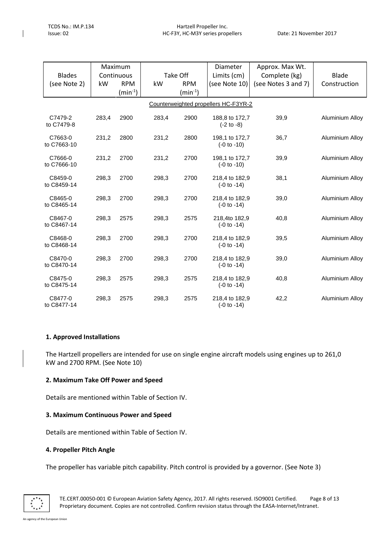| <b>Blades</b><br>(see Note 2) | kW    | Maximum<br>Continuous<br><b>RPM</b> | kW    | Take Off<br><b>RPM</b> | Diameter<br>Limits (cm)<br>(see Note 10) | Approx. Max Wt.<br>Complete (kg)<br>(see Notes 3 and 7) | <b>Blade</b><br>Construction |
|-------------------------------|-------|-------------------------------------|-------|------------------------|------------------------------------------|---------------------------------------------------------|------------------------------|
|                               |       | $(\mathsf{min}^{\text{-}1})$        |       | $(min^{-1})$           | Counterweighted propellers HC-F3YR-2     |                                                         |                              |
| C7479-2<br>to C7479-8         | 283,4 | 2900                                | 283,4 | 2900                   | 188,8 to 172,7<br>$(-2 to -8)$           | 39,9                                                    | <b>Aluminium Alloy</b>       |
| C7663-0<br>to C7663-10        | 231,2 | 2800                                | 231,2 | 2800                   | 198,1 to 172,7<br>$(-0)$ to $-10$        | 36,7                                                    | Aluminium Alloy              |
| C7666-0<br>to C7666-10        | 231,2 | 2700                                | 231,2 | 2700                   | 198,1 to 172,7<br>$(-0)$ to $-10$        | 39,9                                                    | Aluminium Alloy              |
| C8459-0<br>to C8459-14        | 298,3 | 2700                                | 298,3 | 2700                   | 218,4 to 182,9<br>$(-0)$ to $-14$ )      | 38,1                                                    | Aluminium Alloy              |
| C8465-0<br>to C8465-14        | 298,3 | 2700                                | 298,3 | 2700                   | 218,4 to 182,9<br>$(-0)$ to $-14$ )      | 39,0                                                    | Aluminium Alloy              |
| C8467-0<br>to C8467-14        | 298,3 | 2575                                | 298,3 | 2575                   | 218,4to 182,9<br>$(-0 to -14)$           | 40,8                                                    | Aluminium Alloy              |
| C8468-0<br>to C8468-14        | 298,3 | 2700                                | 298,3 | 2700                   | 218,4 to 182,9<br>$(-0)$ to $-14$ )      | 39,5                                                    | Aluminium Alloy              |
| C8470-0<br>to C8470-14        | 298,3 | 2700                                | 298,3 | 2700                   | 218,4 to 182,9<br>$(-0)$ to $-14$ )      | 39,0                                                    | Aluminium Alloy              |
| C8475-0<br>to C8475-14        | 298,3 | 2575                                | 298,3 | 2575                   | 218,4 to 182,9<br>$(-0)$ to $-14$ )      | 40,8                                                    | Aluminium Alloy              |
| C8477-0<br>to C8477-14        | 298,3 | 2575                                | 298,3 | 2575                   | 218,4 to 182,9<br>$(-0 to -14)$          | 42,2                                                    | Aluminium Alloy              |

## <span id="page-7-0"></span>**1. Approved Installations**

The Hartzell propellers are intended for use on single engine aircraft models using engines up to 261,0 kW and 2700 RPM. (See Note 10)

## <span id="page-7-1"></span>**2. Maximum Take Off Power and Speed**

Details are mentioned within Table of Section IV.

## <span id="page-7-2"></span>**3. Maximum Continuous Power and Speed**

Details are mentioned within Table of Section IV.

#### <span id="page-7-3"></span>**4. Propeller Pitch Angle**

The propeller has variable pitch capability. Pitch control is provided by a governor. (See Note 3)



TE.CERT.00050-001 © European Aviation Safety Agency, 2017. All rights reserved. ISO9001 Certified. Page 8 of 13 Proprietary document. Copies are not controlled. Confirm revision status through the EASA-Internet/Intranet.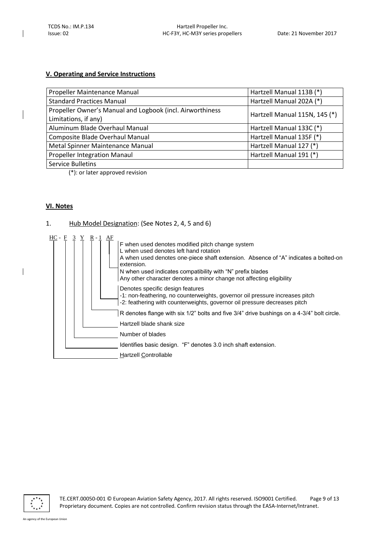## <span id="page-8-0"></span>**V. Operating and Service Instructions**

| Propeller Maintenance Manual                              | Hartzell Manual 113B (*)      |  |
|-----------------------------------------------------------|-------------------------------|--|
| <b>Standard Practices Manual</b>                          | Hartzell Manual 202A (*)      |  |
| Propeller Owner's Manual and Logbook (incl. Airworthiness | Hartzell Manual 115N, 145 (*) |  |
| Limitations, if any)                                      |                               |  |
| Aluminum Blade Overhaul Manual                            | Hartzell Manual 133C (*)      |  |
| Composite Blade Overhaul Manual                           | Hartzell Manual 135F (*)      |  |
| Metal Spinner Maintenance Manual                          | Hartzell Manual 127 (*)       |  |
| <b>Propeller Integration Manaul</b>                       | Hartzell Manual 191 (*)       |  |
| Service Bulletins                                         |                               |  |

(\*): or later approved revision

#### <span id="page-8-1"></span>**VI. Notes**

#### 1. Hub Model Designation: (See Notes 2, 4, 5 and 6)





TE.CERT.00050-001 © European Aviation Safety Agency, 2017. All rights reserved. ISO9001 Certified. Page 9 of 13 Proprietary document. Copies are not controlled. Confirm revision status through the EASA-Internet/Intranet.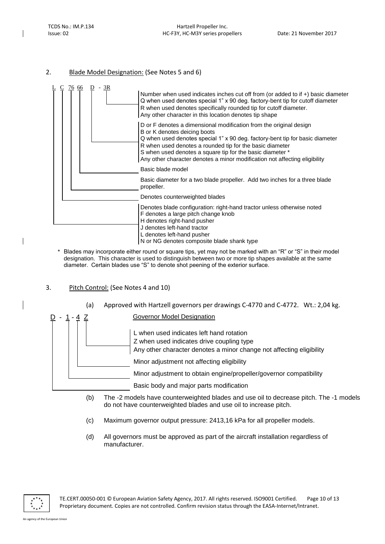#### 2. Blade Model Designation: (See Notes 5 and 6)



Blades may incorporate either round or square tips, yet may not be marked with an "R" or "S" in their model designation. This character is used to distinguish between two or more tip shapes available at the same diameter. Certain blades use "S" to denote shot peening of the exterior surface.

## 3. Pitch Control: (See Notes 4 and 10)

(a) Approved with Hartzell governors per drawings C-4770 and C-4772. Wt.: 2,04 kg.



- (b) The -2 models have counterweighted blades and use oil to decrease pitch. The -1 models do not have counterweighted blades and use oil to increase pitch.
- (c) Maximum governor output pressure: 2413,16 kPa for all propeller models.
- (d) All governors must be approved as part of the aircraft installation regardless of manufacturer.

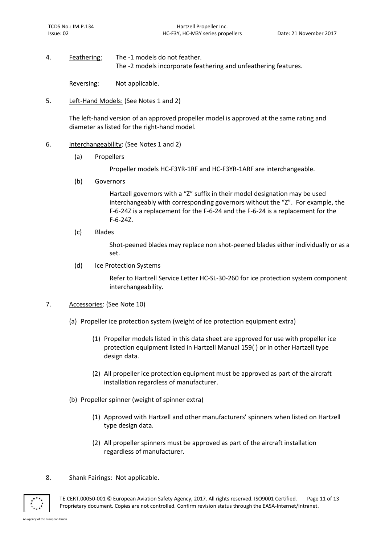4. Feathering: The -1 models do not feather. The -2 models incorporate feathering and unfeathering features.

Reversing: Not applicable.

5. Left-Hand Models: (See Notes 1 and 2)

The left-hand version of an approved propeller model is approved at the same rating and diameter as listed for the right-hand model.

## 6. Interchangeability: (See Notes 1 and 2)

(a) Propellers

Propeller models HC-F3YR-1RF and HC-F3YR-1ARF are interchangeable.

(b) Governors

Hartzell governors with a "Z" suffix in their model designation may be used interchangeably with corresponding governors without the "Z". For example, the F-6-24Z is a replacement for the F-6-24 and the F-6-24 is a replacement for the F-6-24Z.

(c) Blades

Shot-peened blades may replace non shot-peened blades either individually or as a set.

(d) Ice Protection Systems

Refer to Hartzell Service Letter HC-SL-30-260 for ice protection system component interchangeability.

## 7. Accessories: (See Note 10)

- (a) Propeller ice protection system (weight of ice protection equipment extra)
	- (1) Propeller models listed in this data sheet are approved for use with propeller ice protection equipment listed in Hartzell Manual 159( ) or in other Hartzell type design data.
	- (2) All propeller ice protection equipment must be approved as part of the aircraft installation regardless of manufacturer.
- (b) Propeller spinner (weight of spinner extra)
	- (1) Approved with Hartzell and other manufacturers' spinners when listed on Hartzell type design data.
	- (2) All propeller spinners must be approved as part of the aircraft installation regardless of manufacturer.
- 8. Shank Fairings: Not applicable.



TE.CERT.00050-001 © European Aviation Safety Agency, 2017. All rights reserved. ISO9001 Certified. Page 11 of 13 Proprietary document. Copies are not controlled. Confirm revision status through the EASA-Internet/Intranet.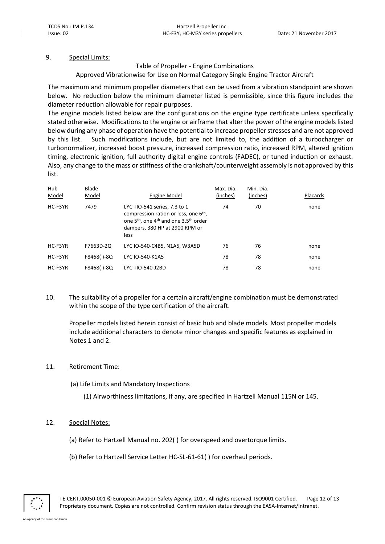## 9. Special Limits:

#### Table of Propeller - Engine Combinations

## Approved Vibrationwise for Use on Normal Category Single Engine Tractor Aircraft

The maximum and minimum propeller diameters that can be used from a vibration standpoint are shown below. No reduction below the minimum diameter listed is permissible, since this figure includes the diameter reduction allowable for repair purposes.

The engine models listed below are the configurations on the engine type certificate unless specifically stated otherwise. Modifications to the engine or airframe that alter the power of the engine models listed below during any phase of operation have the potential to increase propeller stresses and are not approved by this list. Such modifications include, but are not limited to, the addition of a turbocharger or turbonormalizer, increased boost pressure, increased compression ratio, increased RPM, altered ignition timing, electronic ignition, full authority digital engine controls (FADEC), or tuned induction or exhaust. Also, any change to the mass or stiffness of the crankshaft/counterweight assembly is not approved by this list.

| Hub<br>Model | Blade<br>Model | Engine Model                                                                                                                                                                                             | Max. Dia.<br>(inches) | Min. Dia.<br>(inches) | Placards |
|--------------|----------------|----------------------------------------------------------------------------------------------------------------------------------------------------------------------------------------------------------|-----------------------|-----------------------|----------|
| HC-F3YR      | 7479           | LYC TIO-541 series, 7.3 to 1<br>compression ration or less, one 6 <sup>th</sup> ,<br>one 5 <sup>th</sup> , one 4 <sup>th</sup> and one 3.5 <sup>th</sup> order<br>dampers, 380 HP at 2900 RPM or<br>less | 74                    | 70                    | none     |
| HC-F3YR      | F7663D-2Q      | LYC IO-540-C4B5, N1A5, W3A5D                                                                                                                                                                             | 76                    | 76                    | none     |
| HC-F3YR      | F8468()-8Q     | LYC IO-540-K1A5                                                                                                                                                                                          | 78                    | 78                    | none     |
| HC-F3YR      | F8468()-8Q     | LYC TIO-540-J2BD                                                                                                                                                                                         | 78                    | 78                    | none     |

10. The suitability of a propeller for a certain aircraft/engine combination must be demonstrated within the scope of the type certification of the aircraft.

Propeller models listed herein consist of basic hub and blade models. Most propeller models include additional characters to denote minor changes and specific features as explained in Notes 1 and 2.

## 11. Retirement Time:

- (a) Life Limits and Mandatory Inspections
	- (1) Airworthiness limitations, if any, are specified in Hartzell Manual 115N or 145.

## 12. Special Notes:

- (a) Refer to Hartzell Manual no. 202( ) for overspeed and overtorque limits.
- (b) Refer to Hartzell Service Letter HC-SL-61-61( ) for overhaul periods.